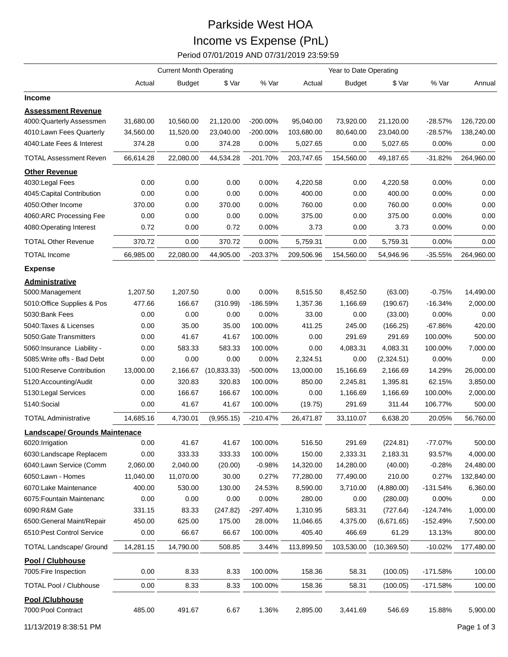## Parkside West HOA Income vs Expense (PnL)

Period 07/01/2019 AND 07/31/2019 23:59:59

|                                           | <b>Current Month Operating</b> |               |              |             | Year to Date Operating |               |              |            |            |
|-------------------------------------------|--------------------------------|---------------|--------------|-------------|------------------------|---------------|--------------|------------|------------|
|                                           | Actual                         | <b>Budget</b> | \$ Var       | % Var       | Actual                 | <b>Budget</b> | \$ Var       | % Var      | Annual     |
| Income                                    |                                |               |              |             |                        |               |              |            |            |
| <b>Assessment Revenue</b>                 |                                |               |              |             |                        |               |              |            |            |
| 4000:Quarterly Assessmen                  | 31,680.00                      | 10,560.00     | 21,120.00    | $-200.00\%$ | 95,040.00              | 73,920.00     | 21,120.00    | $-28.57%$  | 126,720.00 |
| 4010:Lawn Fees Quarterly                  | 34,560.00                      | 11,520.00     | 23,040.00    | -200.00%    | 103,680.00             | 80,640.00     | 23,040.00    | -28.57%    | 138,240.00 |
| 4040:Late Fees & Interest                 | 374.28                         | 0.00          | 374.28       | 0.00%       | 5,027.65               | 0.00          | 5,027.65     | 0.00%      | 0.00       |
| <b>TOTAL Assessment Reven</b>             | 66,614.28                      | 22,080.00     | 44,534.28    | $-201.70%$  | 203,747.65             | 154,560.00    | 49,187.65    | $-31.82%$  | 264,960.00 |
| <b>Other Revenue</b>                      |                                |               |              |             |                        |               |              |            |            |
| 4030: Legal Fees                          | 0.00                           | 0.00          | 0.00         | 0.00%       | 4,220.58               | 0.00          | 4,220.58     | 0.00%      | 0.00       |
| 4045: Capital Contribution                | 0.00                           | 0.00          | 0.00         | 0.00%       | 400.00                 | 0.00          | 400.00       | 0.00%      | 0.00       |
| 4050:Other Income                         | 370.00                         | 0.00          | 370.00       | 0.00%       | 760.00                 | 0.00          | 760.00       | 0.00%      | 0.00       |
| 4060:ARC Processing Fee                   | 0.00                           | 0.00          | 0.00         | 0.00%       | 375.00                 | 0.00          | 375.00       | 0.00%      | 0.00       |
| 4080:Operating Interest                   | 0.72                           | 0.00          | 0.72         | 0.00%       | 3.73                   | 0.00          | 3.73         | 0.00%      | 0.00       |
| <b>TOTAL Other Revenue</b>                | 370.72                         | 0.00          | 370.72       | 0.00%       | 5,759.31               | 0.00          | 5,759.31     | 0.00%      | 0.00       |
| <b>TOTAL Income</b>                       | 66,985.00                      | 22,080.00     | 44,905.00    | $-203.37%$  | 209,506.96             | 154,560.00    | 54,946.96    | $-35.55%$  | 264,960.00 |
| <b>Expense</b>                            |                                |               |              |             |                        |               |              |            |            |
| <b>Administrative</b>                     |                                |               |              |             |                        |               |              |            |            |
| 5000:Management                           | 1,207.50                       | 1,207.50      | 0.00         | 0.00%       | 8,515.50               | 8,452.50      | (63.00)      | $-0.75%$   | 14,490.00  |
| 5010:Office Supplies & Pos                | 477.66                         | 166.67        | (310.99)     | -186.59%    | 1,357.36               | 1,166.69      | (190.67)     | $-16.34%$  | 2,000.00   |
| 5030:Bank Fees                            | 0.00                           | 0.00          | 0.00         | 0.00%       | 33.00                  | 0.00          | (33.00)      | 0.00%      | 0.00       |
| 5040: Taxes & Licenses                    | 0.00                           | 35.00         | 35.00        | 100.00%     | 411.25                 | 245.00        | (166.25)     | -67.86%    | 420.00     |
| 5050: Gate Transmitters                   | 0.00                           | 41.67         | 41.67        | 100.00%     | 0.00                   | 291.69        | 291.69       | 100.00%    | 500.00     |
| 5060: Insurance Liability -               | 0.00                           | 583.33        | 583.33       | 100.00%     | 0.00                   | 4,083.31      | 4,083.31     | 100.00%    | 7,000.00   |
| 5085: Write offs - Bad Debt               | 0.00                           | 0.00          | 0.00         | 0.00%       | 2,324.51               | 0.00          | (2,324.51)   | $0.00\%$   | 0.00       |
| 5100: Reserve Contribution                | 13,000.00                      | 2,166.67      | (10, 833.33) | -500.00%    | 13,000.00              | 15,166.69     | 2,166.69     | 14.29%     | 26,000.00  |
| 5120:Accounting/Audit                     | 0.00                           | 320.83        | 320.83       | 100.00%     | 850.00                 | 2,245.81      | 1,395.81     | 62.15%     | 3,850.00   |
| 5130: Legal Services                      | 0.00                           | 166.67        | 166.67       | 100.00%     | 0.00                   | 1,166.69      | 1,166.69     | 100.00%    | 2,000.00   |
| 5140:Social                               | 0.00                           | 41.67         | 41.67        | 100.00%     | (19.75)                | 291.69        | 311.44       | 106.77%    | 500.00     |
| <b>TOTAL Administrative</b>               | 14,685.16                      | 4,730.01      | (9,955.15)   | $-210.47%$  | 26,471.87              | 33,110.07     | 6,638.20     | 20.05%     | 56,760.00  |
| Landscape/ Grounds Maintenace             |                                |               |              |             |                        |               |              |            |            |
| 6020: Irrigation                          | 0.00                           | 41.67         | 41.67        | 100.00%     | 516.50                 | 291.69        | (224.81)     | -77.07%    | 500.00     |
| 6030:Landscape Replacem                   | 0.00                           | 333.33        | 333.33       | 100.00%     | 150.00                 | 2,333.31      | 2,183.31     | 93.57%     | 4,000.00   |
| 6040:Lawn Service (Comm                   | 2,060.00                       | 2,040.00      | (20.00)      | $-0.98%$    | 14,320.00              | 14,280.00     | (40.00)      | $-0.28%$   | 24,480.00  |
| 6050:Lawn - Homes                         | 11,040.00                      | 11,070.00     | 30.00        | 0.27%       | 77,280.00              | 77,490.00     | 210.00       | 0.27%      | 132,840.00 |
| 6070:Lake Maintenance                     | 400.00                         | 530.00        | 130.00       | 24.53%      | 8,590.00               | 3,710.00      | (4,880.00)   | $-131.54%$ | 6,360.00   |
| 6075: Fountain Maintenanc                 | 0.00                           | 0.00          | 0.00         | 0.00%       | 280.00                 | 0.00          | (280.00)     | 0.00%      | 0.00       |
| 6090:R&M Gate                             | 331.15                         | 83.33         | (247.82)     | -297.40%    | 1,310.95               | 583.31        | (727.64)     | $-124.74%$ | 1,000.00   |
| 6500: General Maint/Repair                | 450.00                         | 625.00        | 175.00       | 28.00%      | 11,046.65              | 4,375.00      | (6,671.65)   | -152.49%   | 7,500.00   |
| 6510: Pest Control Service                | 0.00                           | 66.67         | 66.67        | 100.00%     | 405.40                 | 466.69        | 61.29        | 13.13%     | 800.00     |
| <b>TOTAL Landscape/ Ground</b>            | 14,281.15                      | 14,790.00     | 508.85       | 3.44%       | 113,899.50             | 103,530.00    | (10, 369.50) | $-10.02%$  | 177,480.00 |
| Pool / Clubhouse<br>7005: Fire Inspection | 0.00                           | 8.33          | 8.33         | 100.00%     | 158.36                 | 58.31         | (100.05)     | $-171.58%$ | 100.00     |
| <b>TOTAL Pool / Clubhouse</b>             | 0.00                           | 8.33          | 8.33         | 100.00%     | 158.36                 | 58.31         | (100.05)     | $-171.58%$ | 100.00     |
| Pool /Clubhouse<br>7000: Pool Contract    | 485.00                         | 491.67        | 6.67         | 1.36%       | 2,895.00               | 3,441.69      | 546.69       | 15.88%     | 5,900.00   |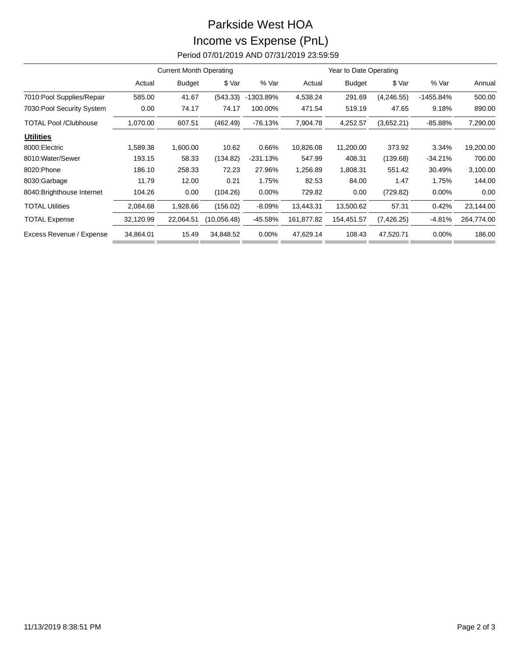## Parkside West HOA Income vs Expense (PnL) Period 07/01/2019 AND 07/31/2019 23:59:59

|                              | <b>Current Month Operating</b> |               |             |            | Year to Date Operating |               |             |           |            |
|------------------------------|--------------------------------|---------------|-------------|------------|------------------------|---------------|-------------|-----------|------------|
|                              | Actual                         | <b>Budget</b> | \$ Var      | % Var      | Actual                 | <b>Budget</b> | \$ Var      | % Var     | Annual     |
| 7010: Pool Supplies/Repair   | 585.00                         | 41.67         | (543.33)    | -1303.89%  | 4,538.24               | 291.69        | (4,246.55)  | -1455.84% | 500.00     |
| 7030: Pool Security System   | 0.00                           | 74.17         | 74.17       | 100.00%    | 471.54                 | 519.19        | 47.65       | 9.18%     | 890.00     |
| <b>TOTAL Pool /Clubhouse</b> | 1,070.00                       | 607.51        | (462.49)    | $-76.13%$  | 7,904.78               | 4,252.57      | (3,652.21)  | $-85.88%$ | 7,290.00   |
| <b>Utilities</b>             |                                |               |             |            |                        |               |             |           |            |
| 8000: Electric               | 1,589.38                       | 1,600.00      | 10.62       | 0.66%      | 10,826.08              | 11,200.00     | 373.92      | 3.34%     | 19,200.00  |
| 8010: Water/Sewer            | 193.15                         | 58.33         | (134.82)    | $-231.13%$ | 547.99                 | 408.31        | (139.68)    | $-34.21%$ | 700.00     |
| 8020: Phone                  | 186.10                         | 258.33        | 72.23       | 27.96%     | 1,256.89               | 1,808.31      | 551.42      | 30.49%    | 3,100.00   |
| 8030:Garbage                 | 11.79                          | 12.00         | 0.21        | 1.75%      | 82.53                  | 84.00         | 1.47        | 1.75%     | 144.00     |
| 8040: Brighthouse Internet   | 104.26                         | 0.00          | (104.26)    | $0.00\%$   | 729.82                 | 0.00          | (729.82)    | $0.00\%$  | 0.00       |
| <b>TOTAL Utilities</b>       | 2,084.68                       | 1,928.66      | (156.02)    | $-8.09%$   | 13,443.31              | 13,500.62     | 57.31       | 0.42%     | 23,144.00  |
| <b>TOTAL Expense</b>         | 32,120.99                      | 22,064.51     | (10.056.48) | -45.58%    | 161,877.82             | 154,451.57    | (7, 426.25) | $-4.81%$  | 264,774.00 |
| Excess Revenue / Expense     | 34,864.01                      | 15.49         | 34,848.52   | $0.00\%$   | 47,629.14              | 108.43        | 47,520.71   | 0.00%     | 186.00     |